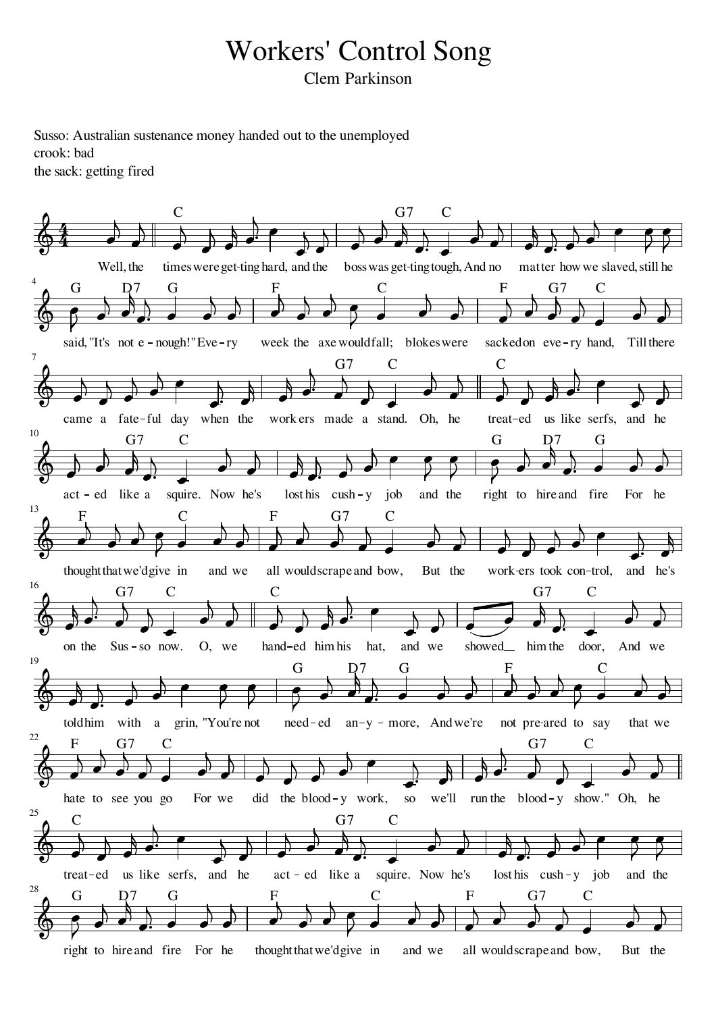### Workers' Control Song

Clem Parkinson

Susso: Australian sustenance money handed out to the unemployed crook: bad the sack: getting fired

4 7 13 10 16 19 22 25 28  $\begin{array}{|c|c|c|c|c|}\hline \multicolumn{1}{|c|}{c} & \multicolumn{1}{|c|}{c} & \multicolumn{1}{|c|}{c} & \multicolumn{1}{|c|}{c} & \multicolumn{1}{|c|}{c} & \multicolumn{1}{|c|}{c} & \multicolumn{1}{|c|}{c} & \multicolumn{1}{|c|}{c} & \multicolumn{1}{|c|}{c} & \multicolumn{1}{|c|}{c} & \multicolumn{1}{|c|}{c} & \multicolumn{1}{|c|}{c} & \multicolumn{1}{|c|}{c} & \multicolumn{1}{|c|}{c} & \multicolumn{$  $\overline{\phantom{a}}$  $\overline{\phantom{a}}$  $\overline{\phantom{a}}$  $\sum$  $\frac{1}{\epsilon}$  $\overline{\phantom{a}}$   $\overline{ }$  $\rightarrow$  $\frac{1}{\cdot}$  $\begin{array}{|c|c|c|c|c|}\n\hline\n\bullet & \bullet & \bullet & \bullet\n\end{array}$  $\overline{\phantom{a}}$  $\overline{\phantom{a}}$  $\overrightarrow{a}$  $\rightarrow$  $\rightarrow$  $\overline{\phantom{a}}$  $\overline{\phantom{a}}$  $\overline{\phantom{a}}$  $\overline{\phantom{a}}$  $\overline{\phantom{a}}$  $\overline{\phantom{a}}$  $\overline{\phantom{a}}$  $\overline{\phantom{a}}$  $\overline{\phantom{a}}$  $\rightarrow$  $\overline{\phantom{a}}$  $\overline{\phantom{a}}$  $\overline{\phantom{a}}$  $\overline{\phantom{a}}$  $\overline{ }$  $\overline{\phantom{a}}$  $\overline{\phantom{a}}$  $\rightarrow$  $\overline{\phantom{a}}$  $\overline{\phantom{a}}$  $\frac{1}{2}$  $\overline{\phantom{a}}$  $\overline{\phantom{a}}$  $\overline{\phantom{a}}$  $\overline{\phantom{a}}$  $\overline{\phantom{a}}$  $\overline{\phantom{a}}$  $\rightarrow$  $\overline{\phantom{a}}$  $\overline{\phantom{a}}$  $\overline{\phantom{a}}$  $\overline{\phantom{a}}$  $\overline{\phantom{a}}$  $\overline{\phantom{a}}$  $\overline{\phantom{a}}$  $\overline{\phantom{a}}$  $\overline{\phantom{a}}$  $\rightarrow$  $\overline{\phantom{a}}$  $\overline{\phantom{a}}$  $\Big)$  $\overline{\phantom{a}}$  $\overline{\phantom{a}}$  $\rightarrow$  $\overline{\phantom{a}}$  $\overline{\phantom{a}}$  $\overline{ }$  $\frac{1}{\epsilon}$  $\rightarrow$  $\frac{1}{2}$ .  $\rightarrow$  $\overline{\phantom{a}}$  $\overline{\phantom{a}}$  $\overline{\phantom{a}}$  $\overline{\phantom{a}}$  $\frac{\ }{2}$  $\overline{\phantom{a}}$  $\overrightarrow{a}$  $\overline{ }$  $\overline{\phantom{a}}$  $\overline{\phantom{a}}$  $\overline{\phantom{a}}$  $\overline{\phantom{a}}$  $\overline{\phantom{a}}$  $\overrightarrow{ }$  $\overline{ }$  $\overline{\phantom{a}}$  $\overline{\phantom{a}}$  $\overline{\phantom{a}}$  $\overline{\phantom{a}}$  $\overline{ }$  $\overline{\phantom{a}}$  $\frac{1}{\epsilon}$  $\overline{\phantom{a}}$  $\overline{\phantom{a}}$  $\overline{\phantom{a}}$  $\overline{\phantom{a}}$  $\overline{\phantom{0}}$  $\overline{\phantom{a}}$  $\frac{1}{\cdot}$  $\frac{1}{2}$  .  $\frac{1}{2}$  ,  $\frac{1}{2}$  ,  $\frac{1}{2}$  ,  $\overline{\phantom{a}}$  $\overline{\phantom{a}}$  $\overline{\phantom{a}}$  $\overline{\phantom{a}}$  $\overline{\phantom{a}}$  $\overline{\phantom{a}}$  $\overline{\phantom{a}}$  $\overline{\phantom{0}}$  $\overline{\phantom{a}}$  $\frac{1}{2}$  $\overline{\phantom{a}}$  $\overline{\phantom{a}}$  $\overline{\phantom{a}}$  $\overline{\phantom{a}}$  $\overline{\phantom{a}}$  $\frac{1}{2}$  .  $\overline{\phantom{a}}$  $\overline{\phantom{a}}$  $\overline{ }$  $\overrightarrow{a}$  $\overline{\phantom{a}}$  $\frac{1}{2}$  $\overline{\phantom{a}}$  $\overline{\phantom{a}}$  $\overline{\phantom{a}}$  $\frac{1}{\epsilon}$  $\rightarrow$  $\overrightarrow{a}$  $\overline{\phantom{a}}$  $\overrightarrow{ }$  $\overline{\phantom{a}}$  $\overline{\phantom{a}}$  $\overline{\phantom{a}}$  $\overline{\phantom{a}}$  $\overline{\phantom{a}}$  $\overline{\mathbf{e}}$  $\overrightarrow{ }$  $\rightarrow$  $\bigotimes$ ර්<br>ග  $\bigotimes$  $\bigotimes$  $\bigotimes$  $\bigotimes$ ර්<br>ග  $\bigotimes$  $\bigotimes$  $\bigotimes$ 4 4<br>4  $\begin{array}{c|c}\n C \\
 \hline\n \end{array}$  $\mathbf{r}$  $\overline{1}$  $\frac{1}{1}$  $\frac{1}{\sqrt{2}}$ ₹  $\overline{a}$  $\mathbf{r}$  $\begin{array}{ccccccc}\nG & & & F & & \\
\hline\n\end{array}$ P  $\overline{a}$  $\overline{1}$  $\frac{G7}{1}$  C  $\overline{a}$   $\overline{1}$  $\overline{a}$  $\overline{P}$  $\begin{array}{c|c}\n & \text{F}\n\end{array}$  $G7 \quad C$  $\overline{1}$  $\overline{1}$  $\overline{a}$  $\overline{1}$  $\overline{a}$  $\frac{1}{\sqrt{2}}$  $\frac{G7}{1}$  $\overline{1}$  $\overline{a}$  $\frac{1}{\sqrt{2}}$  $\overline{a}$ l<br>H P  $\overline{a}$  $\frac{G7}{1}$  C  $\frac{1}{\sqrt{2}}$  $\overline{1}$  $\overline{F}$  $\frac{1}{\sqrt{2}}$  $\overline{1}$  $\overline{a}$  $\begin{array}{ccc} \n\text{F} & \text{G7} & \text{C} \\
\hline\n\text{A} & \text{C}\n\end{array}$  $\frac{1}{\sqrt{2}}$  $\overline{a}$  $\overline{a}$  $\overline{a}$  $\overline{a}$  $\overline{a}$  $\overline{a}$  $\overline{1}$  $\overline{F}$  $\overline{1}$  $\overline{a}$  $\overline{a}$  $\frac{1}{\sqrt{2}}$  $\overline{1}$  $rac{G7}{1}$  $F \qquad \qquad G7$  $\frac{1}{\sqrt{1-\frac{1}{2}}}$  $\overline{a}$  $\overline{1}$  $P$  $\begin{array}{c} \n \overline{a} & \overline{b} & \overline{b} & \overline{b} & \overline{b} & \overline{b} \\ \n \overline{b} & \overline{b} & \overline{b} & \overline{b} & \overline{b} & \overline{b} & \overline{b} \\ \n \overline{b} & \overline{b} & \overline{b} & \overline{b} & \overline{b} & \overline{b} & \overline{b} & \overline{b} & \overline{b} \\ \n \end{array}$ ₹  $\overline{a}$  $\mathbf{y}^{\prime}$  $\overline{1}$  $\overline{a}$  $\frac{1}{\sqrt{1-\frac{1}{2}}}$  $\overline{1}$  $\overline{a}$ ₹  $\overline{a}$  $G \qquad Q7 \qquad G$  $\overline{a}$  $\frac{1}{1}$  $\frac{1}{\sqrt{2}}$  $\frac{1}{\sqrt{2}}$  $\overline{1}$  $\frac{G7}{4}$  $F$ ₹  $\overline{a}$  $\frac{1}{\sqrt{2}}$  $\overline{a}$ P  $\overline{a}$  $\overline{a}$  $\frac{1}{1}$  $\overline{a}$ P  $\overline{a}$  $\overline{a}$ ₹  $\frac{C}{\sqrt{2}}$  $\overline{1}$  $\overline{a}$  $\frac{1}{\sqrt{2}}$  $\frac{1}{\sqrt{2}}$  $\begin{array}{ccccccc}\n & G & & F & & \\
\hline\n & \downarrow & \downarrow & \downarrow & \downarrow & \downarrow\n\end{array}$  $\overline{1}$  $\mathbf{r}$  $\frac{G7}{1}$  D7 G  $\overline{1}$  $\overline{1}$  $\overline{a}$ ์<br>เ  $\overline{a}$  $\frac{G7}{1}$  $\frac{1}{\sqrt{2}}$  $\overline{a}$  $\frac{1}{1}$  $\frac{1}{1}$  $\overline{a}$  $\frac{1}{\sqrt{2}}$  $\frac{1}{\sqrt{2}}$  $\overline{a}$  $\overline{a}$ ₹  $\overline{a}$  $\overline{a}$  $\overline{\phantom{a}}$  $\frac{1}{\sqrt{2}}$  $\begin{array}{c} \begin{array}{c} \hline \end{array} \end{array}$  $\begin{array}{c} \n F \\ \n \end{array}$  $G<sub>7</sub>$  $\frac{1}{\sqrt{2}}$  $\overline{1}$  $\overline{a}$  $P$  $\overline{C}$ said, "It's not e - nough!" Eve - ry week Well, the were get-ting hard, and the boss was get-ting tough, And no mat the axe would fall; blokeswere sackedon eve ry hand, ter howwe slaved, still he Till there act – ed like a came a fate ful day thought thatwe'd give in squire. Now he's on the toldhim with a grin,  $Sus - so now.$ when the and we all lost his cush - y work ers made a stand. would scrape and bow,  $O$ , we "You're not hand-ed him his need-ed an-y-more, And hate to see you go treat-ed ed us like serfs, and he right to hire and fire For he For we did the blood -  $y$  work, act ed like a squire. Now thought that we'd give in job and the Oh, he But the right to hire and fire treat ed us like serfs, the work ers took con trol, and hat, and we showed him the we're not pre ared to say For he and he he's door, And we that we so we'll run the blood-y show." Oh, he he's lost his cush - y job and in and we all wouldscrape and bow, But the and the C G  $D$ 7 G F C C F  $G7$ F  $\mathcal{C}$ C C  $G$ C F C G G F C  $\mathcal{C}_{0}^{(n)}$ C C C F G7 C  $\frac{1}{2}$  $\frac{1}{2}$  $\frac{1}{2}$  d'allah  $\frac{1}{2}$  $\mathbf{I}$  $\frac{1}{2}$  $\mathbf{r}$  $\mathbf{r}$  $\overline{\mathbf{r}}$  $\overline{)}$  $\frac{1}{2}$  $\frac{1}{2}$  $\frac{1}{2}$  $\frac{1}{2}$  $\frac{1}{2}$  $\frac{1}{2}$ ļ  $\frac{1}{2}$ ļ  $\mathbf{I}$  $\overline{\mathbf{r}}$  $\mathbf{I}$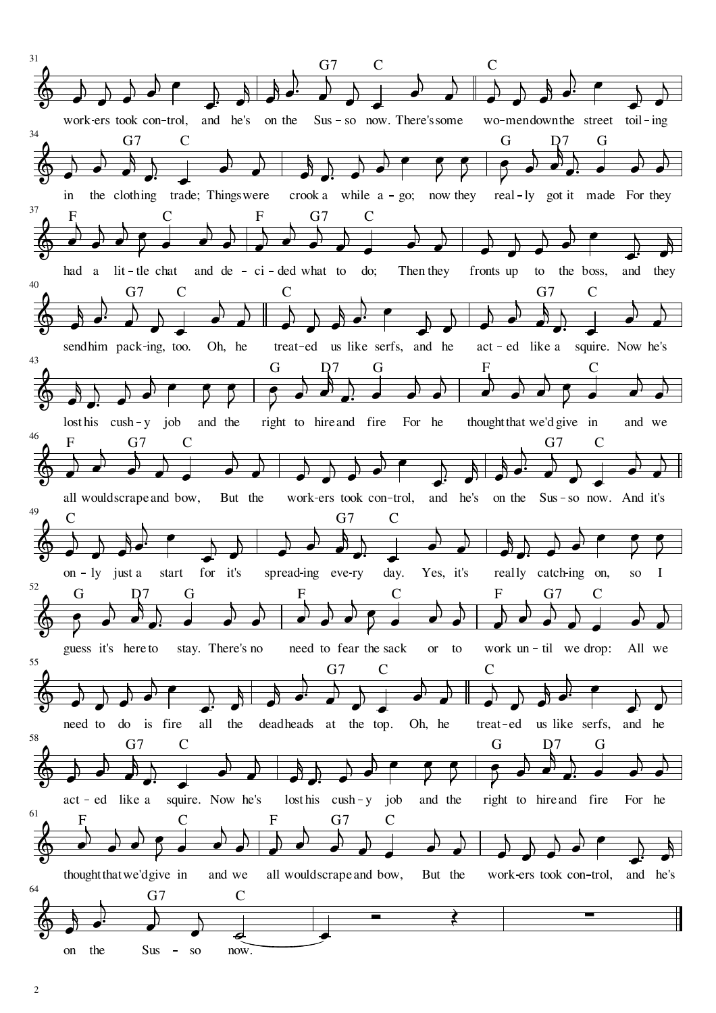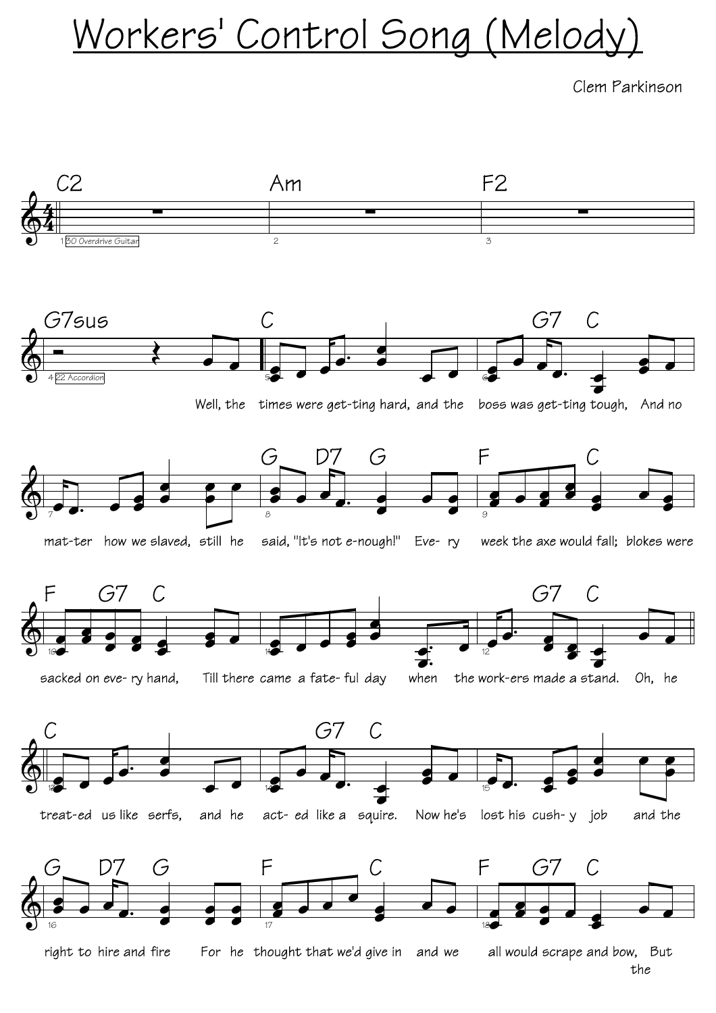## Workers' Control Song (Melody)

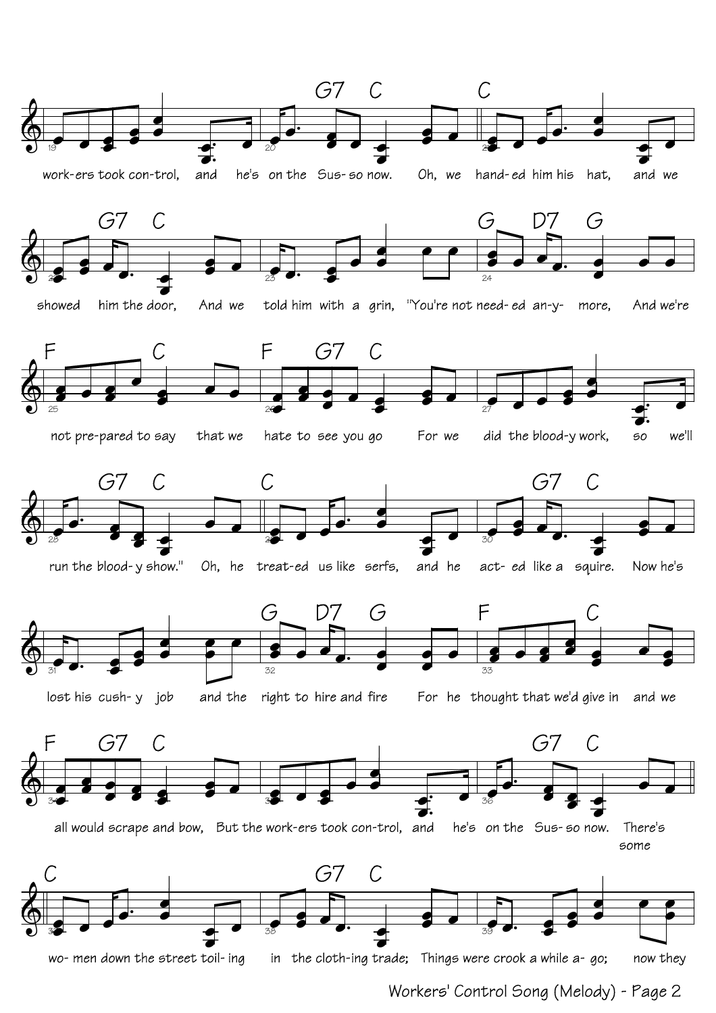

Workers' Control Song (Melody) - Page 2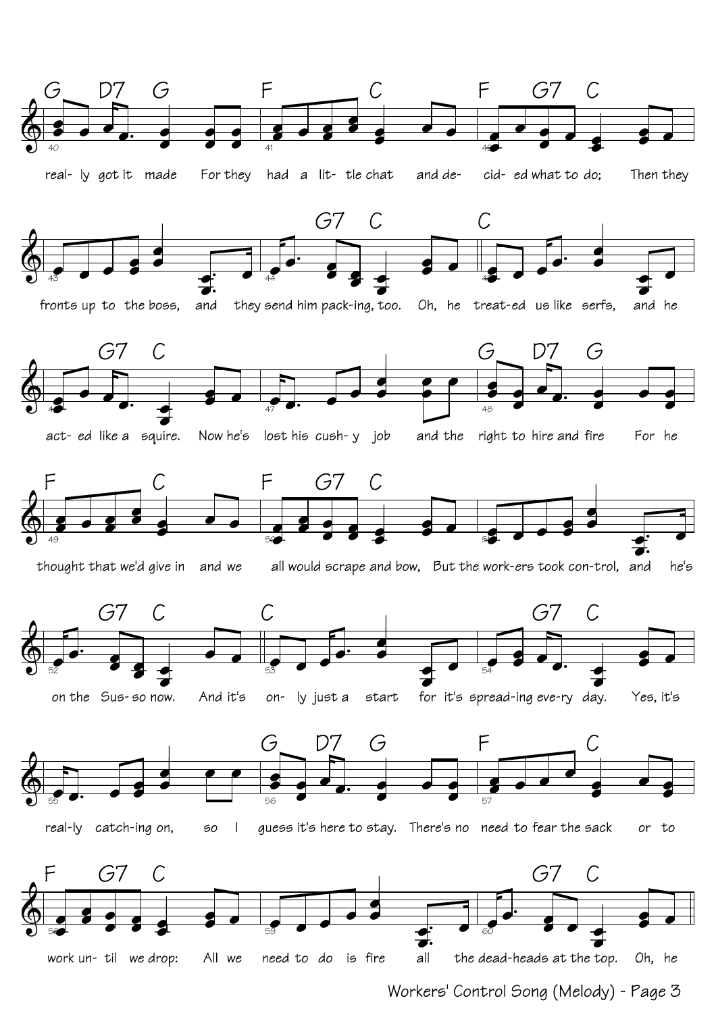

Workers' Control Song (Melody) - Page 3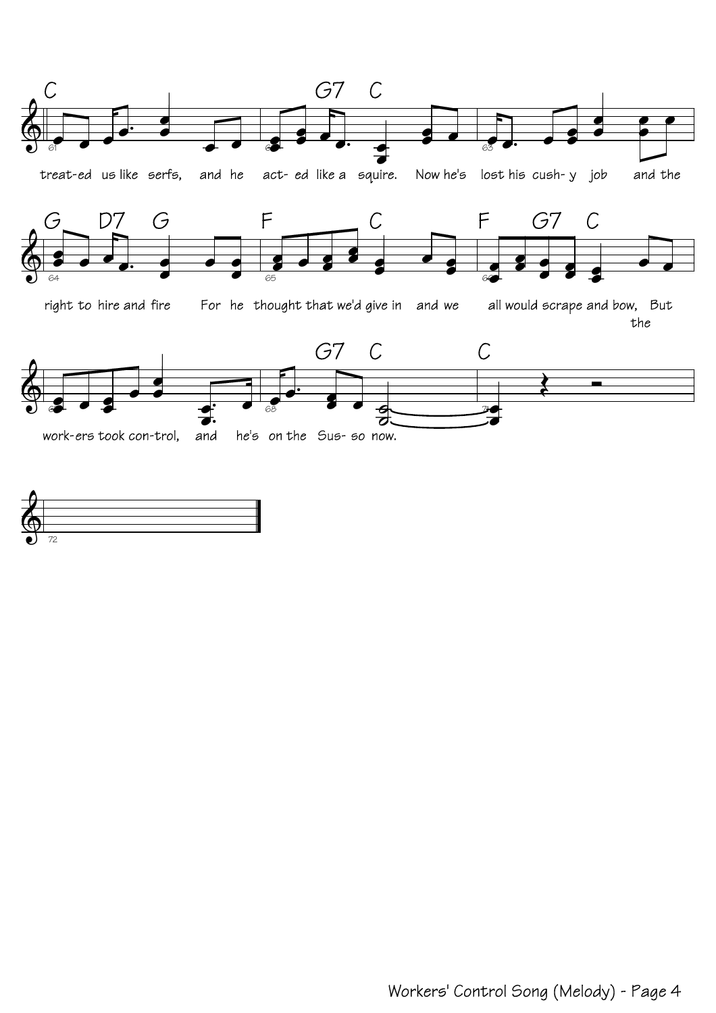

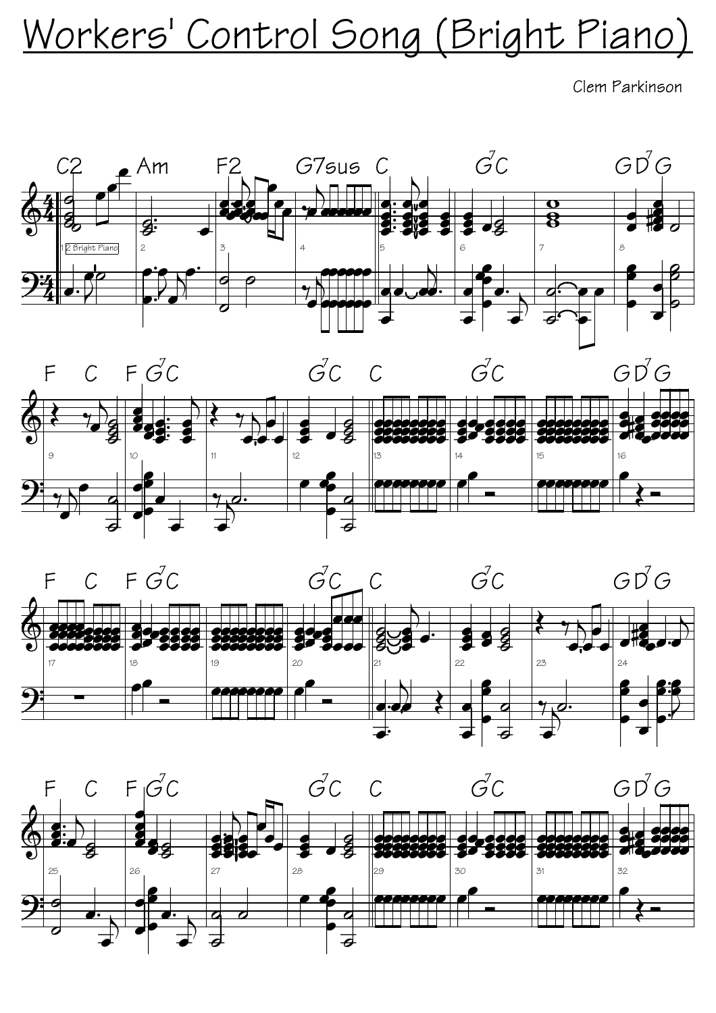# Workers' Control Song (Bright Piano)







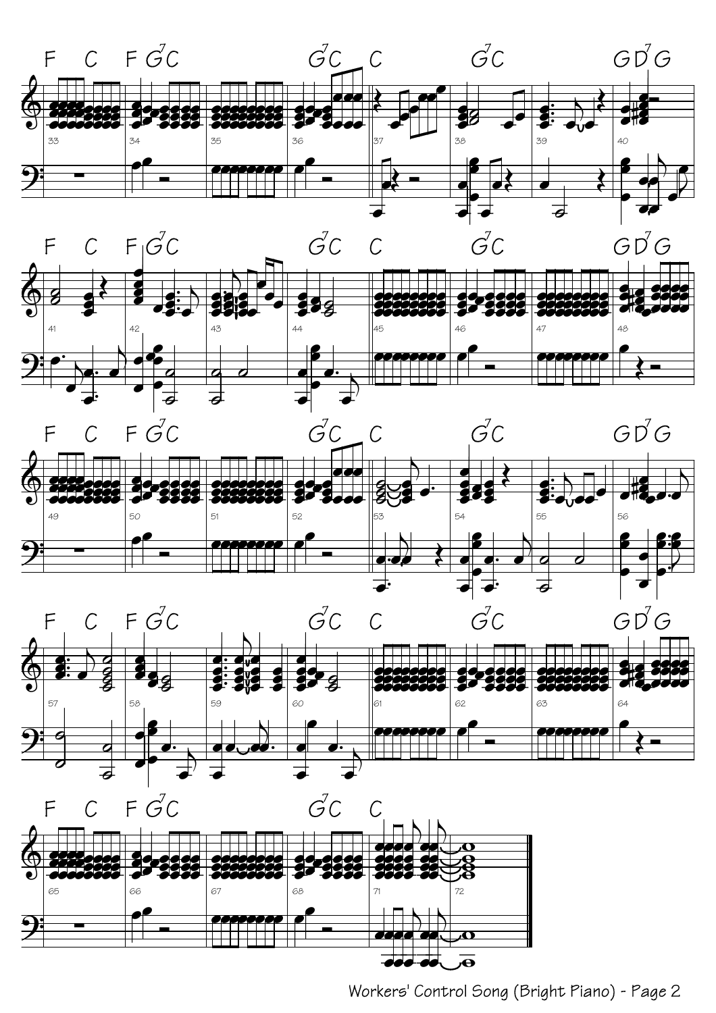









Workers' Control Song (Bright Piano) - Page 2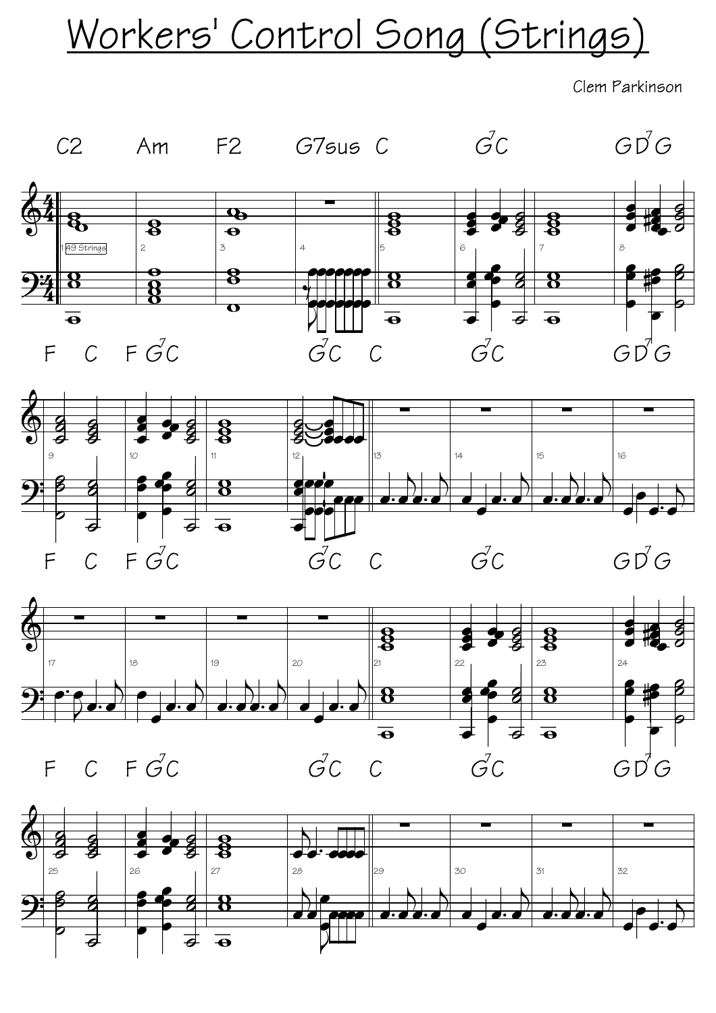## Workers' Control Song (Strings)







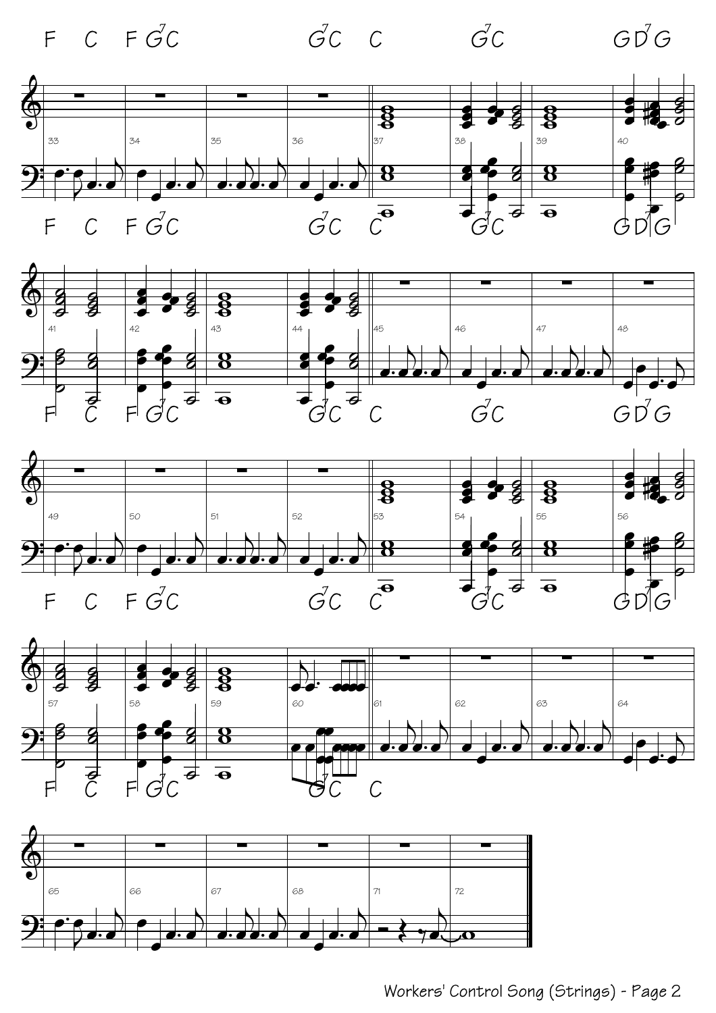F C F $G$  $C$   $C$   $C$ 

**ASS** 2 33 | 34 | 35 | 36 | 37 | 38 | 39 | 40 ¸  $\frac{1}{\sqrt{2}}$  $\overrightarrow{q}$ . —<br>—<br>—  $\overline{\mathbf{C}}$  $\blacksquare$  $\overrightarrow{q}$ . —<br>—<br>—  $\overrightarrow{q \cdot q \cdot q}$ ¸  $\overline{\phantom{a}}$  $\blacksquare$  $\overrightarrow{q}$ .  $\frac{1}{8}$ w w  $\frac{1}{\sqrt{2}}$  $\blacksquare$  $\frac{1}{2}$ **q** q  $\overline{\phantom{a}}$  $\overrightarrow{.}$ **J d**  $\overline{\phantom{a}}$ d<mark>e</mark> P<br>C  $\blacksquare$  $\frac{1}{2}$  $\mathbf{z}$  $\mathbf{S}$  $\overline{\overline{z}}$  $\frac{1}{e}$  $\frac{1}{8}$ w w  $\overline{\bullet}$  $\begin{array}{|c|c|} \hline \mathbf{8} & \mathbf{3} \\ \hline \mathbf{8} & \mathbf{40} \\ \hline \mathbf{8} & \mathbf{40} \\ \hline \mathbf{\overline{0}} & \mathbf{60} \\ \hline \mathbf{\overline{10}} & \mathbf{60} \\ \hline \mathbf{\overline{11}} & \mathbf{60} \\ \hline \mathbf{12} & \mathbf{60} \\ \hline \mathbf{13} & \mathbf{60} \\ \hline \mathbf{14} & \mathbf{60} \\ \hline \mathbf{15} & \mathbf{60} \\ \hline \mathbf{16} & \mathbf{$ **q z**  $\overline{\phantom{a}}$ Q r<br>1 **q**  $\frac{1}{10}$  $\frac{1}{2}$ **#**  $\blacksquare$ ا ۱۵۵ ර<br>ර **H**  $\beta$  $\overline{B}$ F C F $G$  $C$   $G^C$   $G^C$ 7  $C^{\theta-\theta}$   $\theta$   $\theta$   $\theta$   $\theta$ 

 $\vec{GC}$ 

 $C$   $G D^7 G$ 







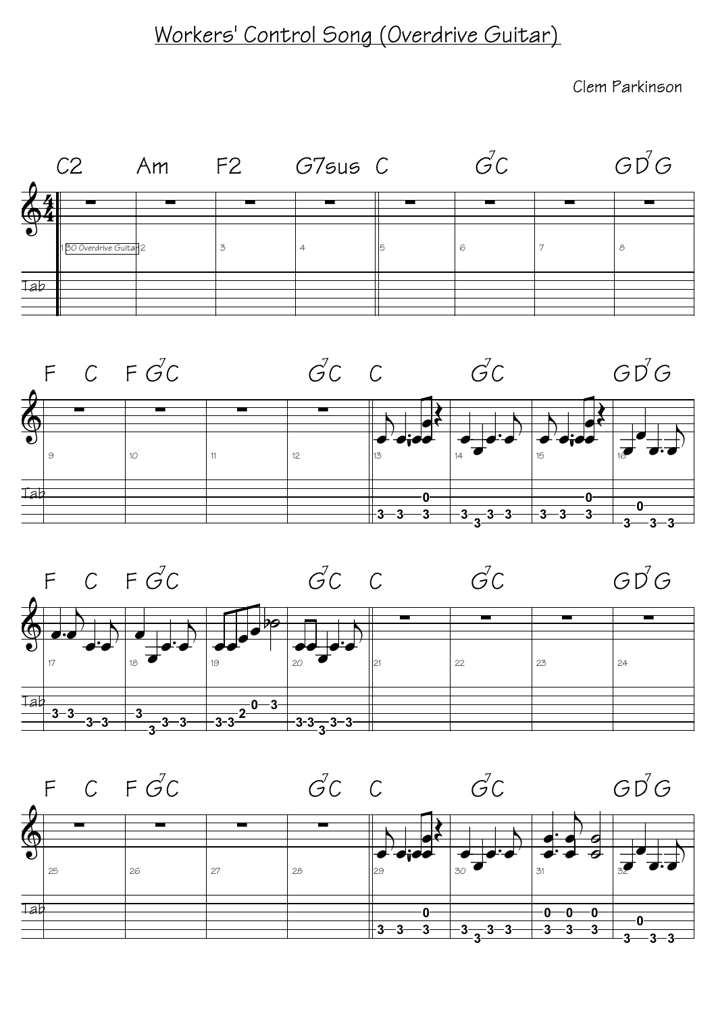#### Workers' Control Song (Overdrive Guitar)







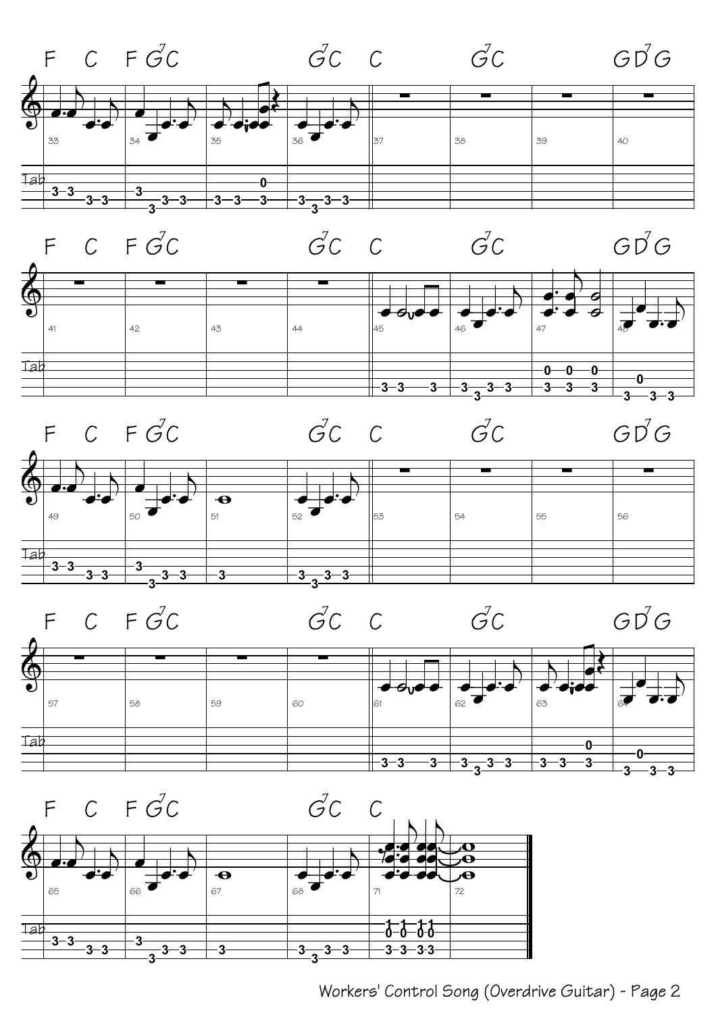









Workers' Control Song (Overdrive Guitar) - Page 2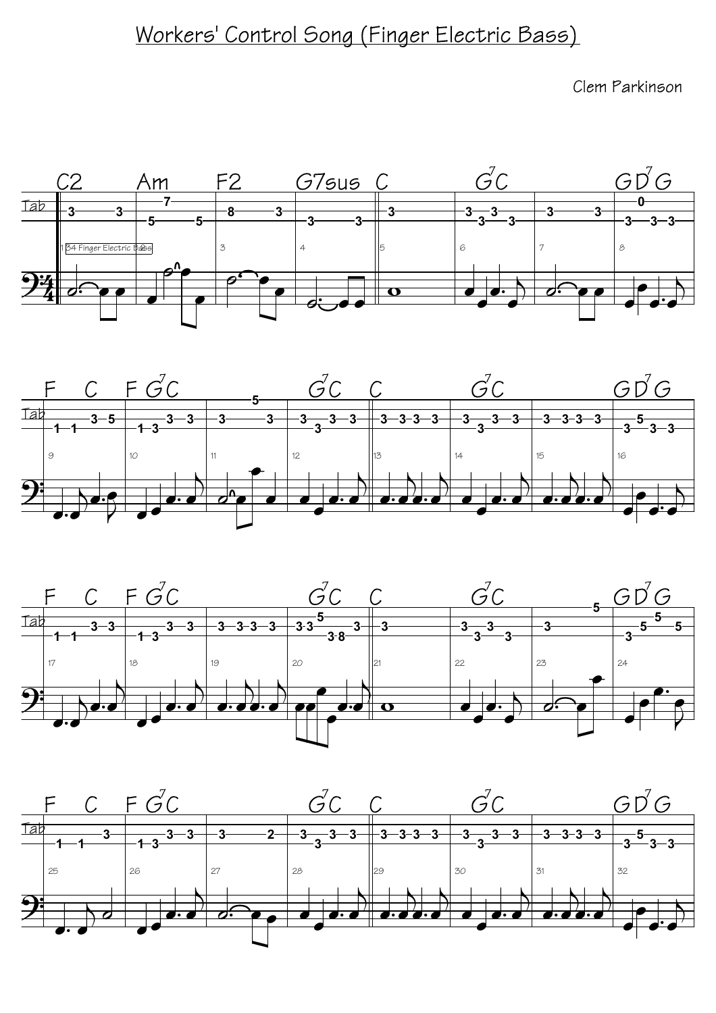#### Workers' Control Song (Finger Electric Bass)